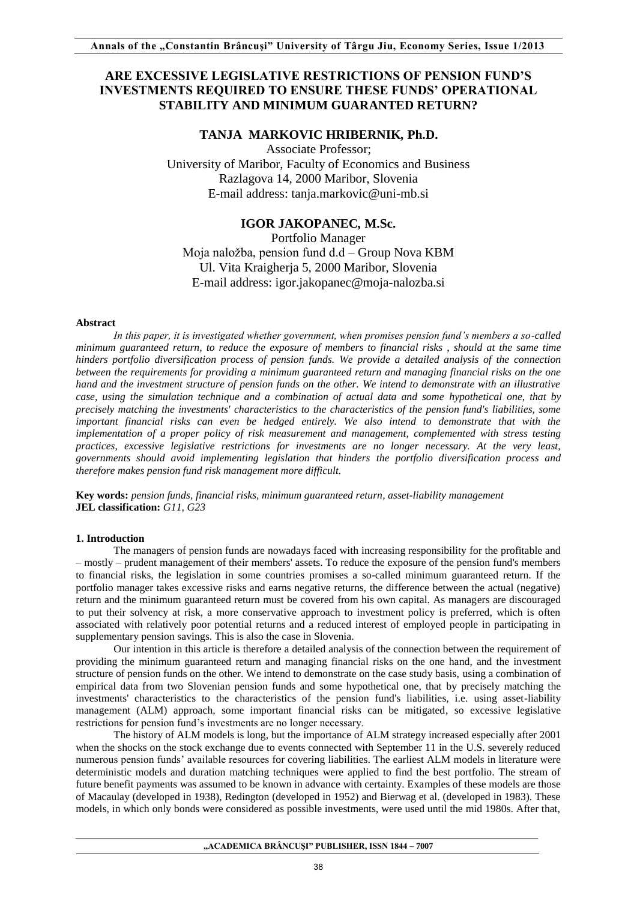# **ARE EXCESSIVE LEGISLATIVE RESTRICTIONS OF PENSION FUND'S INVESTMENTS REQUIRED TO ENSURE THESE FUNDS' OPERATIONAL STABILITY AND MINIMUM GUARANTED RETURN?**

**TANJA MARKOVIC HRIBERNIK***,* **Ph.D.** 

Associate Professor; University of Maribor, Faculty of Economics and Business Razlagova 14, 2000 Maribor, Slovenia E-mail address: tanja.markovic@uni-mb.si

# **IGOR JAKOPANEC***,* **M.Sc.**

Portfolio Manager Moja naložba, pension fund d.d – Group Nova KBM Ul. Vita Kraigherja 5, 2000 Maribor, Slovenia E-mail address: igor.jakopanec@moja-nalozba.si

## **Abstract**

*In this paper, it is investigated whether government, when promises pension fund's members a so-called minimum guaranteed return, to reduce the exposure of members to financial risks , should at the same time hinders portfolio diversification process of pension funds. We provide a detailed analysis of the connection between the requirements for providing a minimum guaranteed return and managing financial risks on the one hand and the investment structure of pension funds on the other. We intend to demonstrate with an illustrative case, using the simulation technique and a combination of actual data and some hypothetical one, that by precisely matching the investments' characteristics to the characteristics of the pension fund's liabilities, some important financial risks can even be hedged entirely. We also intend to demonstrate that with the implementation of a proper policy of risk measurement and management, complemented with stress testing practices, excessive legislative restrictions for investments are no longer necessary. At the very least, governments should avoid implementing legislation that hinders the portfolio diversification process and therefore makes pension fund risk management more difficult.* 

**Key words:** *pension funds, financial risks, minimum guaranteed return, asset-liability management* **JEL classification:** *G11, G23* 

# **1. Introduction**

The managers of pension funds are nowadays faced with increasing responsibility for the profitable and – mostly – prudent management of their members' assets. To reduce the exposure of the pension fund's members to financial risks, the legislation in some countries promises a so-called minimum guaranteed return. If the portfolio manager takes excessive risks and earns negative returns, the difference between the actual (negative) return and the minimum guaranteed return must be covered from his own capital. As managers are discouraged to put their solvency at risk, a more conservative approach to investment policy is preferred, which is often associated with relatively poor potential returns and a reduced interest of employed people in participating in supplementary pension savings. This is also the case in Slovenia.

Our intention in this article is therefore a detailed analysis of the connection between the requirement of providing the minimum guaranteed return and managing financial risks on the one hand, and the investment structure of pension funds on the other. We intend to demonstrate on the case study basis, using a combination of empirical data from two Slovenian pension funds and some hypothetical one, that by precisely matching the investments' characteristics to the characteristics of the pension fund's liabilities, i.e. using asset-liability management (ALM) approach, some important financial risks can be mitigated, so excessive legislative restrictions for pension fund's investments are no longer necessary.

The history of ALM models is long, but the importance of ALM strategy increased especially after 2001 when the shocks on the stock exchange due to events connected with September 11 in the U.S. severely reduced numerous pension funds' available resources for covering liabilities. The earliest ALM models in literature were deterministic models and duration matching techniques were applied to find the best portfolio. The stream of future benefit payments was assumed to be known in advance with certainty. Examples of these models are those of Macaulay (developed in 1938), Redington (developed in 1952) and Bierwag et al. (developed in 1983). These models, in which only bonds were considered as possible investments, were used until the mid 1980s. After that,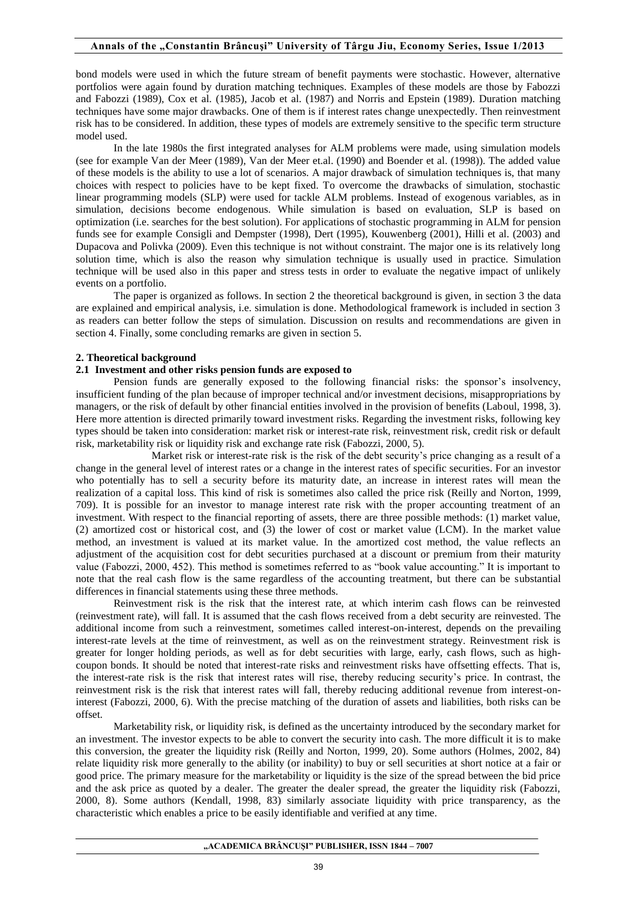bond models were used in which the future stream of benefit payments were stochastic. However, alternative portfolios were again found by duration matching techniques. Examples of these models are those by Fabozzi and Fabozzi (1989), Cox et al. (1985), Jacob et al. (1987) and Norris and Epstein (1989). Duration matching techniques have some major drawbacks. One of them is if interest rates change unexpectedly. Then reinvestment risk has to be considered. In addition, these types of models are extremely sensitive to the specific term structure model used.

In the late 1980s the first integrated analyses for ALM problems were made, using simulation models (see for example Van der Meer (1989), Van der Meer et.al. (1990) and Boender et al. (1998)). The added value of these models is the ability to use a lot of scenarios. A major drawback of simulation techniques is, that many choices with respect to policies have to be kept fixed. To overcome the drawbacks of simulation, stochastic linear programming models (SLP) were used for tackle ALM problems. Instead of exogenous variables, as in simulation, decisions become endogenous. While simulation is based on evaluation, SLP is based on optimization (i.e. searches for the best solution). For applications of stochastic programming in ALM for pension funds see for example Consigli and Dempster (1998), Dert (1995), Kouwenberg (2001), Hilli et al. (2003) and Dupacova and Polivka (2009). Even this technique is not without constraint. The major one is its relatively long solution time, which is also the reason why simulation technique is usually used in practice. Simulation technique will be used also in this paper and stress tests in order to evaluate the negative impact of unlikely events on a portfolio.

The paper is organized as follows. In section 2 the theoretical background is given, in section 3 the data are explained and empirical analysis, i.e. simulation is done. Methodological framework is included in section 3 as readers can better follow the steps of simulation. Discussion on results and recommendations are given in section 4. Finally, some concluding remarks are given in section 5.

# **2. Theoretical background**

# **2.1 Investment and other risks pension funds are exposed to**

Pension funds are generally exposed to the following financial risks: the sponsor's insolvency, insufficient funding of the plan because of improper technical and/or investment decisions, misappropriations by managers, or the risk of default by other financial entities involved in the provision of benefits (Laboul, 1998, 3). Here more attention is directed primarily toward investment risks. Regarding the investment risks, following key types should be taken into consideration: market risk or interest-rate risk, reinvestment risk, credit risk or default risk, marketability risk or liquidity risk and exchange rate risk (Fabozzi, 2000, 5).

Market risk or interest-rate risk is the risk of the debt security's price changing as a result of a change in the general level of interest rates or a change in the interest rates of specific securities. For an investor who potentially has to sell a security before its maturity date, an increase in interest rates will mean the realization of a capital loss. This kind of risk is sometimes also called the price risk (Reilly and Norton, 1999, 709). It is possible for an investor to manage interest rate risk with the proper accounting treatment of an investment. With respect to the financial reporting of assets, there are three possible methods: (1) market value, (2) amortized cost or historical cost, and (3) the lower of cost or market value (LCM). In the market value method, an investment is valued at its market value. In the amortized cost method, the value reflects an adjustment of the acquisition cost for debt securities purchased at a discount or premium from their maturity value (Fabozzi, 2000, 452). This method is sometimes referred to as "book value accounting." It is important to note that the real cash flow is the same regardless of the accounting treatment, but there can be substantial differences in financial statements using these three methods.

Reinvestment risk is the risk that the interest rate, at which interim cash flows can be reinvested (reinvestment rate), will fall. It is assumed that the cash flows received from a debt security are reinvested. The additional income from such a reinvestment, sometimes called interest-on-interest, depends on the prevailing interest-rate levels at the time of reinvestment, as well as on the reinvestment strategy. Reinvestment risk is greater for longer holding periods, as well as for debt securities with large, early, cash flows, such as highcoupon bonds. It should be noted that interest-rate risks and reinvestment risks have offsetting effects. That is, the interest-rate risk is the risk that interest rates will rise, thereby reducing security's price. In contrast, the reinvestment risk is the risk that interest rates will fall, thereby reducing additional revenue from interest-oninterest (Fabozzi, 2000, 6). With the precise matching of the duration of assets and liabilities, both risks can be offset.

Marketability risk, or liquidity risk, is defined as the uncertainty introduced by the secondary market for an investment. The investor expects to be able to convert the security into cash. The more difficult it is to make this conversion, the greater the liquidity risk (Reilly and Norton, 1999, 20). Some authors (Holmes, 2002, 84) relate liquidity risk more generally to the ability (or inability) to buy or sell securities at short notice at a fair or good price. The primary measure for the marketability or liquidity is the size of the spread between the bid price and the ask price as quoted by a dealer. The greater the dealer spread, the greater the liquidity risk (Fabozzi, 2000, 8). Some authors (Kendall, 1998, 83) similarly associate liquidity with price transparency, as the characteristic which enables a price to be easily identifiable and verified at any time.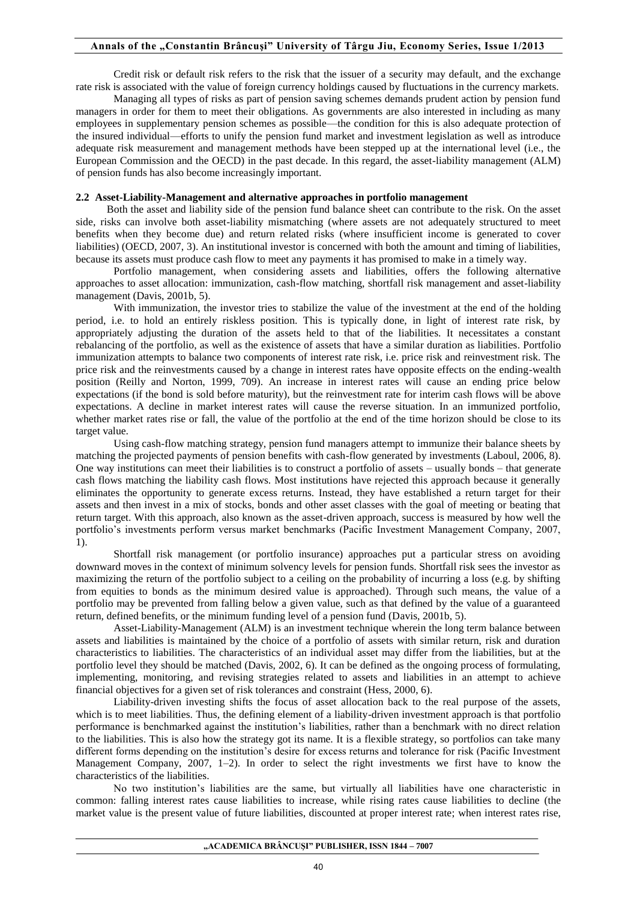Credit risk or default risk refers to the risk that the issuer of a security may default, and the exchange rate risk is associated with the value of foreign currency holdings caused by fluctuations in the currency markets.

Managing all types of risks as part of pension saving schemes demands prudent action by pension fund managers in order for them to meet their obligations. As governments are also interested in including as many employees in supplementary pension schemes as possible—the condition for this is also adequate protection of the insured individual—efforts to unify the pension fund market and investment legislation as well as introduce adequate risk measurement and management methods have been stepped up at the international level (i.e., the European Commission and the OECD) in the past decade. In this regard, the asset-liability management (ALM) of pension funds has also become increasingly important.

# **2.2 Asset-Liability-Management and alternative approaches in portfolio management**

Both the asset and liability side of the pension fund balance sheet can contribute to the risk. On the asset side, risks can involve both asset-liability mismatching (where assets are not adequately structured to meet benefits when they become due) and return related risks (where insufficient income is generated to cover liabilities) (OECD, 2007, 3). An institutional investor is concerned with both the amount and timing of liabilities, because its assets must produce cash flow to meet any payments it has promised to make in a timely way.

Portfolio management, when considering assets and liabilities, offers the following alternative approaches to asset allocation: immunization, cash-flow matching, shortfall risk management and asset-liability management (Davis, 2001b, 5).

With immunization, the investor tries to stabilize the value of the investment at the end of the holding period, i.e. to hold an entirely riskless position. This is typically done, in light of interest rate risk, by appropriately adjusting the duration of the assets held to that of the liabilities. It necessitates a constant rebalancing of the portfolio, as well as the existence of assets that have a similar duration as liabilities. Portfolio immunization attempts to balance two components of interest rate risk, i.e. price risk and reinvestment risk. The price risk and the reinvestments caused by a change in interest rates have opposite effects on the ending-wealth position (Reilly and Norton, 1999, 709). An increase in interest rates will cause an ending price below expectations (if the bond is sold before maturity), but the reinvestment rate for interim cash flows will be above expectations. A decline in market interest rates will cause the reverse situation. In an immunized portfolio, whether market rates rise or fall, the value of the portfolio at the end of the time horizon should be close to its target value.

Using cash-flow matching strategy, pension fund managers attempt to immunize their balance sheets by matching the projected payments of pension benefits with cash-flow generated by investments (Laboul, 2006, 8). One way institutions can meet their liabilities is to construct a portfolio of assets – usually bonds – that generate cash flows matching the liability cash flows. Most institutions have rejected this approach because it generally eliminates the opportunity to generate excess returns. Instead, they have established a return target for their assets and then invest in a mix of stocks, bonds and other asset classes with the goal of meeting or beating that return target. With this approach, also known as the asset-driven approach, success is measured by how well the portfolio's investments perform versus market benchmarks (Pacific Investment Management Company, 2007, 1).

Shortfall risk management (or portfolio insurance) approaches put a particular stress on avoiding downward moves in the context of minimum solvency levels for pension funds. Shortfall risk sees the investor as maximizing the return of the portfolio subject to a ceiling on the probability of incurring a loss (e.g. by shifting from equities to bonds as the minimum desired value is approached). Through such means, the value of a portfolio may be prevented from falling below a given value, such as that defined by the value of a guaranteed return, defined benefits, or the minimum funding level of a pension fund (Davis, 2001b, 5).

Asset-Liability-Management (ALM) is an investment technique wherein the long term balance between assets and liabilities is maintained by the choice of a portfolio of assets with similar return, risk and duration characteristics to liabilities. The characteristics of an individual asset may differ from the liabilities, but at the portfolio level they should be matched (Davis, 2002, 6). It can be defined as the ongoing process of formulating, implementing, monitoring, and revising strategies related to assets and liabilities in an attempt to achieve financial objectives for a given set of risk tolerances and constraint (Hess, 2000, 6).

Liability-driven investing shifts the focus of asset allocation back to the real purpose of the assets, which is to meet liabilities. Thus, the defining element of a liability-driven investment approach is that portfolio performance is benchmarked against the institution's liabilities, rather than a benchmark with no direct relation to the liabilities. This is also how the strategy got its name. It is a flexible strategy, so portfolios can take many different forms depending on the institution's desire for excess returns and tolerance for risk (Pacific Investment Management Company, 2007, 1–2). In order to select the right investments we first have to know the characteristics of the liabilities.

No two institution's liabilities are the same, but virtually all liabilities have one characteristic in common: falling interest rates cause liabilities to increase, while rising rates cause liabilities to decline (the market value is the present value of future liabilities, discounted at proper interest rate; when interest rates rise,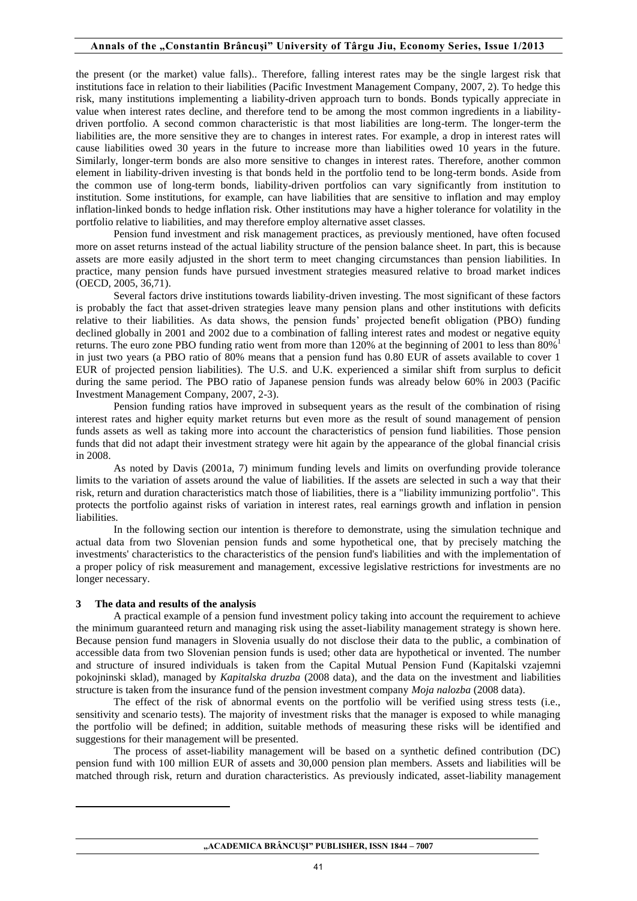the present (or the market) value falls).. Therefore, falling interest rates may be the single largest risk that institutions face in relation to their liabilities (Pacific Investment Management Company, 2007, 2). To hedge this risk, many institutions implementing a liability-driven approach turn to bonds. Bonds typically appreciate in value when interest rates decline, and therefore tend to be among the most common ingredients in a liabilitydriven portfolio. A second common characteristic is that most liabilities are long-term. The longer-term the liabilities are, the more sensitive they are to changes in interest rates. For example, a drop in interest rates will cause liabilities owed 30 years in the future to increase more than liabilities owed 10 years in the future. Similarly, longer-term bonds are also more sensitive to changes in interest rates. Therefore, another common element in liability-driven investing is that bonds held in the portfolio tend to be long-term bonds. Aside from the common use of long-term bonds, liability-driven portfolios can vary significantly from institution to institution. Some institutions, for example, can have liabilities that are sensitive to inflation and may employ inflation-linked bonds to hedge inflation risk. Other institutions may have a higher tolerance for volatility in the portfolio relative to liabilities, and may therefore employ alternative asset classes.

Pension fund investment and risk management practices, as previously mentioned, have often focused more on asset returns instead of the actual liability structure of the pension balance sheet. In part, this is because assets are more easily adjusted in the short term to meet changing circumstances than pension liabilities. In practice, many pension funds have pursued investment strategies measured relative to broad market indices (OECD, 2005, 36,71).

Several factors drive institutions towards liability-driven investing. The most significant of these factors is probably the fact that asset-driven strategies leave many pension plans and other institutions with deficits relative to their liabilities. As data shows, the pension funds' projected benefit obligation (PBO) funding declined globally in 2001 and 2002 due to a combination of falling interest rates and modest or negative equity returns. The euro zone PBO funding ratio went from more than 120% at the beginning of 2001 to less than 80%<sup>1</sup> in just two years (a PBO ratio of 80% means that a pension fund has 0.80 EUR of assets available to cover 1 EUR of projected pension liabilities). The U.S. and U.K. experienced a similar shift from surplus to deficit during the same period. The PBO ratio of Japanese pension funds was already below 60% in 2003 (Pacific Investment Management Company, 2007, 2-3).

Pension funding ratios have improved in subsequent years as the result of the combination of rising interest rates and higher equity market returns but even more as the result of sound management of pension funds assets as well as taking more into account the characteristics of pension fund liabilities. Those pension funds that did not adapt their investment strategy were hit again by the appearance of the global financial crisis in 2008.

As noted by Davis (2001a, 7) minimum funding levels and limits on overfunding provide tolerance limits to the variation of assets around the value of liabilities. If the assets are selected in such a way that their risk, return and duration characteristics match those of liabilities, there is a "liability immunizing portfolio". This protects the portfolio against risks of variation in interest rates, real earnings growth and inflation in pension liabilities.

In the following section our intention is therefore to demonstrate, using the simulation technique and actual data from two Slovenian pension funds and some hypothetical one, that by precisely matching the investments' characteristics to the characteristics of the pension fund's liabilities and with the implementation of a proper policy of risk measurement and management, excessive legislative restrictions for investments are no longer necessary.

# **3 The data and results of the analysis**

 $\overline{a}$ 

A practical example of a pension fund investment policy taking into account the requirement to achieve the minimum guaranteed return and managing risk using the asset-liability management strategy is shown here. Because pension fund managers in Slovenia usually do not disclose their data to the public, a combination of accessible data from two Slovenian pension funds is used; other data are hypothetical or invented. The number and structure of insured individuals is taken from the Capital Mutual Pension Fund (Kapitalski vzajemni pokojninski sklad), managed by *Kapitalska druzba* (2008 data), and the data on the investment and liabilities structure is taken from the insurance fund of the pension investment company *Moja nalozba* (2008 data).

The effect of the risk of abnormal events on the portfolio will be verified using stress tests (i.e., sensitivity and scenario tests). The majority of investment risks that the manager is exposed to while managing the portfolio will be defined; in addition, suitable methods of measuring these risks will be identified and suggestions for their management will be presented.

The process of asset-liability management will be based on a synthetic defined contribution (DC) pension fund with 100 million EUR of assets and 30,000 pension plan members. Assets and liabilities will be matched through risk, return and duration characteristics. As previously indicated, asset-liability management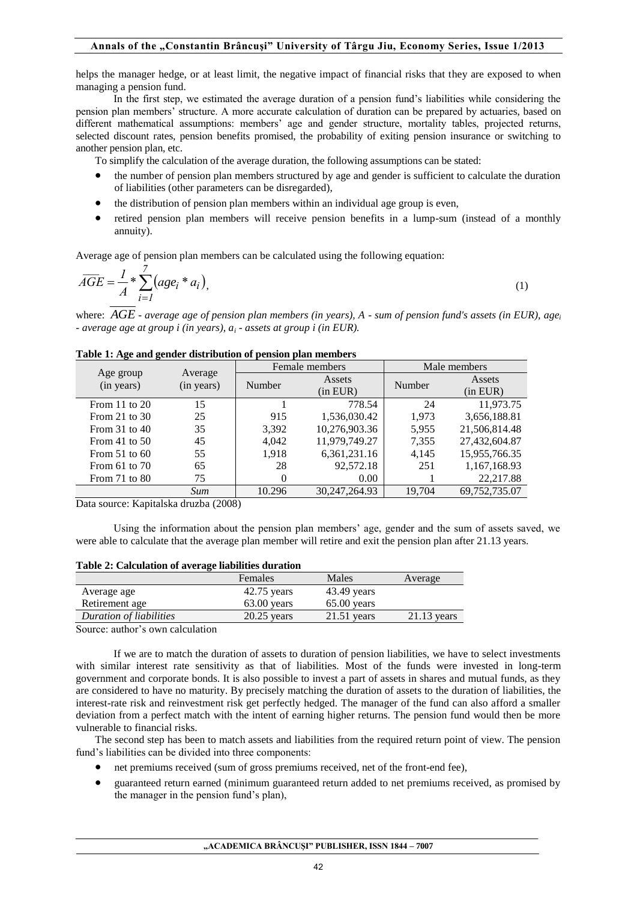helps the manager hedge, or at least limit, the negative impact of financial risks that they are exposed to when managing a pension fund.

In the first step, we estimated the average duration of a pension fund's liabilities while considering the pension plan members' structure. A more accurate calculation of duration can be prepared by actuaries, based on different mathematical assumptions: members' age and gender structure, mortality tables, projected returns, selected discount rates, pension benefits promised, the probability of exiting pension insurance or switching to another pension plan, etc.

To simplify the calculation of the average duration, the following assumptions can be stated:

- the number of pension plan members structured by age and gender is sufficient to calculate the duration of liabilities (other parameters can be disregarded),
- the distribution of pension plan members within an individual age group is even,
- retired pension plan members will receive pension benefits in a lump-sum (instead of a monthly annuity).

Average age of pension plan members can be calculated using the following equation:

$$
\overline{AGE} = \frac{1}{A} * \sum_{i=1}^{7} (age_i * a_i), \tag{1}
$$

where: *AGE - average age of pension plan members (in years), A - sum of pension fund's assets (in EUR), age<sup>i</sup> - average age at group i (in years), a<sup>i</sup> - assets at group i (in EUR).*

#### **Table 1: Age and gender distribution of pension plan members**

|                         |                                           | Female members |                    | Male members |                         |
|-------------------------|-------------------------------------------|----------------|--------------------|--------------|-------------------------|
| Age group<br>(in years) | Average<br>(in years)                     | Number         | Assets<br>(in EUR) | Number       | Assets<br>$(in$ EUR $)$ |
| From $11$ to $20$       | 15                                        |                | 778.54             | 24           | 11,973.75               |
| From 21 to $30$         | 25                                        | 915            | 1,536,030.42       | 1,973        | 3,656,188.81            |
| From $31$ to $40$       | 35                                        | 3,392          | 10,276,903.36      | 5,955        | 21,506,814.48           |
| From 41 to $50$         | 45                                        | 4,042          | 11,979,749.27      | 7,355        | 27,432,604.87           |
| From $51$ to $60$       | 55                                        | 1,918          | 6,361,231.16       | 4,145        | 15,955,766.35           |
| From $61$ to $70$       | 65                                        | 28             | 92,572.18          | 251          | 1,167,168.93            |
| From $71$ to $80$       | 75                                        | $\theta$       | 0.00               |              | 22,217.88               |
|                         | Sum<br>$\sim$ $\sim$ $\sim$ $\sim$ $\sim$ | 10.296         | 30, 247, 264. 93   | 19,704       | 69,752,735.07           |

Data source: Kapitalska druzba (2008)

Using the information about the pension plan members' age, gender and the sum of assets saved, we were able to calculate that the average plan member will retire and exit the pension plan after 21.13 years.

| Table 2: Calculation of average liabilities duration |  |  |  |  |  |
|------------------------------------------------------|--|--|--|--|--|
|------------------------------------------------------|--|--|--|--|--|

|                                                                                                                     | Females       | Males         | Average       |
|---------------------------------------------------------------------------------------------------------------------|---------------|---------------|---------------|
| Average age                                                                                                         | $42.75$ years | $43.49$ years |               |
| Retirement age                                                                                                      | $63.00$ years | $65.00$ years |               |
| Duration of liabilities                                                                                             | $20.25$ years | $21.51$ years | $21.13$ years |
| and the contract of the contract of the contract of the contract of the contract of the contract of the contract of |               |               |               |

Source: author's own calculation

If we are to match the duration of assets to duration of pension liabilities, we have to select investments with similar interest rate sensitivity as that of liabilities. Most of the funds were invested in long-term government and corporate bonds. It is also possible to invest a part of assets in shares and mutual funds, as they are considered to have no maturity. By precisely matching the duration of assets to the duration of liabilities, the interest-rate risk and reinvestment risk get perfectly hedged. The manager of the fund can also afford a smaller deviation from a perfect match with the intent of earning higher returns. The pension fund would then be more vulnerable to financial risks.

The second step has been to match assets and liabilities from the required return point of view. The pension fund's liabilities can be divided into three components:

- net premiums received (sum of gross premiums received, net of the front-end fee),
- guaranteed return earned (minimum guaranteed return added to net premiums received, as promised by the manager in the pension fund's plan),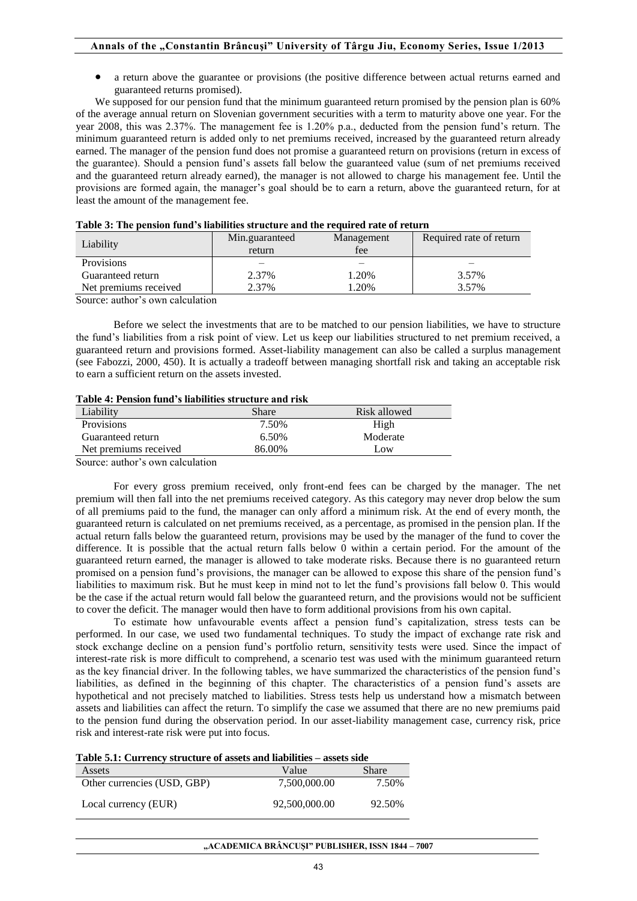a return above the guarantee or provisions (the positive difference between actual returns earned and guaranteed returns promised).

We supposed for our pension fund that the minimum guaranteed return promised by the pension plan is 60% of the average annual return on Slovenian government securities with a term to maturity above one year. For the year 2008, this was 2.37%. The management fee is 1.20% p.a., deducted from the pension fund's return. The minimum guaranteed return is added only to net premiums received, increased by the guaranteed return already earned. The manager of the pension fund does not promise a guaranteed return on provisions (return in excess of the guarantee). Should a pension fund's assets fall below the guaranteed value (sum of net premiums received and the guaranteed return already earned), the manager is not allowed to charge his management fee. Until the provisions are formed again, the manager's goal should be to earn a return, above the guaranteed return, for at least the amount of the management fee.

| Liability                         | Min.guaranteed | Management | Required rate of return |
|-----------------------------------|----------------|------------|-------------------------|
|                                   | return         | fee        |                         |
| <b>Provisions</b>                 |                |            |                         |
| Guaranteed return                 | 2.37%          | .20%       | 3.57%                   |
| Net premiums received             | 2.37%          | .20%       | 3.57%                   |
| $\sim$<br>$\cdot$ $\cdot$ $\cdot$ |                |            |                         |

|  |  | Table 3: The pension fund's liabilities structure and the required rate of return |  |  |
|--|--|-----------------------------------------------------------------------------------|--|--|
|--|--|-----------------------------------------------------------------------------------|--|--|

Source: author's own calculation

Before we select the investments that are to be matched to our pension liabilities, we have to structure the fund's liabilities from a risk point of view. Let us keep our liabilities structured to net premium received, a guaranteed return and provisions formed. Asset-liability management can also be called a surplus management (see Fabozzi, 2000, 450). It is actually a tradeoff between managing shortfall risk and taking an acceptable risk to earn a sufficient return on the assets invested.

#### **Table 4: Pension fund's liabilities structure and risk**

| Liability             | Share    | Risk allowed |
|-----------------------|----------|--------------|
| <b>Provisions</b>     | 7.50%    | High         |
| Guaranteed return     | $6.50\%$ | Moderate     |
| Net premiums received | 86.00%   | Low          |
|                       |          |              |

Source: author's own calculation

For every gross premium received, only front-end fees can be charged by the manager. The net premium will then fall into the net premiums received category. As this category may never drop below the sum of all premiums paid to the fund, the manager can only afford a minimum risk. At the end of every month, the guaranteed return is calculated on net premiums received, as a percentage, as promised in the pension plan. If the actual return falls below the guaranteed return, provisions may be used by the manager of the fund to cover the difference. It is possible that the actual return falls below 0 within a certain period. For the amount of the guaranteed return earned, the manager is allowed to take moderate risks. Because there is no guaranteed return promised on a pension fund's provisions, the manager can be allowed to expose this share of the pension fund's liabilities to maximum risk. But he must keep in mind not to let the fund's provisions fall below 0. This would be the case if the actual return would fall below the guaranteed return, and the provisions would not be sufficient to cover the deficit. The manager would then have to form additional provisions from his own capital.

To estimate how unfavourable events affect a pension fund's capitalization, stress tests can be performed. In our case, we used two fundamental techniques. To study the impact of exchange rate risk and stock exchange decline on a pension fund's portfolio return, sensitivity tests were used. Since the impact of interest-rate risk is more difficult to comprehend, a scenario test was used with the minimum guaranteed return as the key financial driver. In the following tables, we have summarized the characteristics of the pension fund's liabilities, as defined in the beginning of this chapter. The characteristics of a pension fund's assets are hypothetical and not precisely matched to liabilities. Stress tests help us understand how a mismatch between assets and liabilities can affect the return. To simplify the case we assumed that there are no new premiums paid to the pension fund during the observation period. In our asset-liability management case, currency risk, price risk and interest-rate risk were put into focus.

|  | Table 5.1: Currency structure of assets and liabilities – assets side |  |
|--|-----------------------------------------------------------------------|--|
|--|-----------------------------------------------------------------------|--|

| Assets                      | Value         | Share  |
|-----------------------------|---------------|--------|
| Other currencies (USD, GBP) | 7.500.000.00  | 7.50%  |
| Local currency (EUR)        | 92,500,000,00 | 92.50% |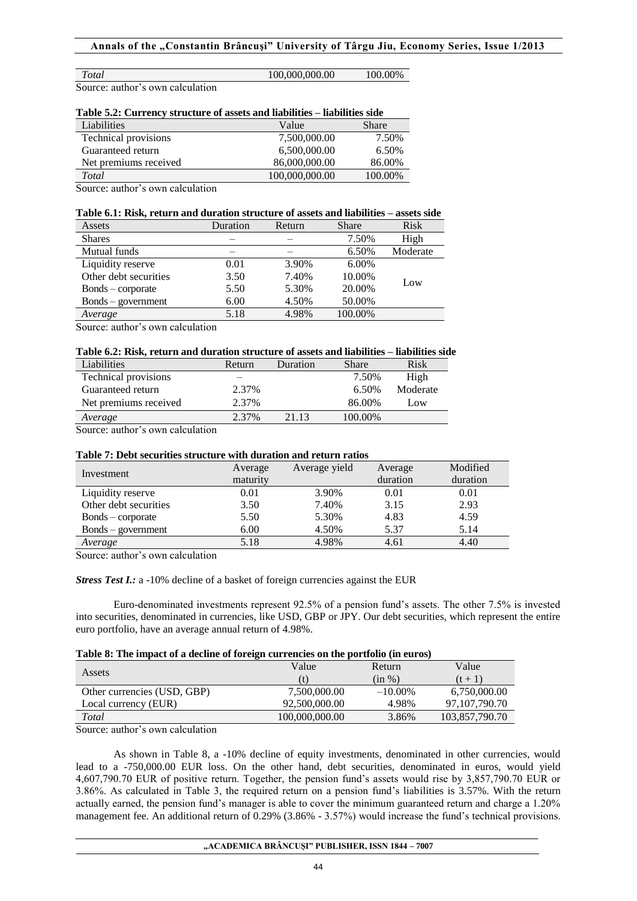| Total                            | 100,000,000.00 | 100.00% |
|----------------------------------|----------------|---------|
| Source: author's own calculation |                |         |

| Table 5.2: Currency structure of assets and liabilities – liabilities side |                |         |  |
|----------------------------------------------------------------------------|----------------|---------|--|
| Liabilities                                                                | Value          | Share   |  |
| Technical provisions                                                       | 7,500,000.00   | 7.50%   |  |
| Guaranteed return                                                          | 6,500,000.00   | 6.50%   |  |
| Net premiums received                                                      | 86,000,000.00  | 86.00%  |  |
| Total                                                                      | 100,000,000.00 | 100.00% |  |

Source: author's own calculation

| Table 6.1: Risk, return and duration structure of assets and liabilities – assets side |  |
|----------------------------------------------------------------------------------------|--|
|----------------------------------------------------------------------------------------|--|

| Assets                | Duration | Return | <b>Share</b> | <b>Risk</b> |
|-----------------------|----------|--------|--------------|-------------|
| <b>Shares</b>         |          |        | 7.50%        | High        |
| Mutual funds          |          |        | 6.50%        | Moderate    |
| Liquidity reserve     | 0.01     | 3.90%  | 6.00%        |             |
| Other debt securities | 3.50     | 7.40%  | 10.00%       | Low         |
| Bonds – corporate     | 5.50     | 5.30%  | 20.00%       |             |
| $Bonds - government$  | 6.00     | 4.50%  | 50.00%       |             |
| Average               | 5.18     | 4.98%  | 100.00%      |             |
|                       |          |        |              |             |

Source: author's own calculation

| Table 6.2: Risk, return and duration structure of assets and liabilities – liabilities side |        |          |              |             |
|---------------------------------------------------------------------------------------------|--------|----------|--------------|-------------|
| Liabilities                                                                                 | Return | Duration | <b>Share</b> | <b>Risk</b> |
| Technical provisions                                                                        |        |          | 7.50%        | High        |
| Guaranteed return                                                                           | 2.37%  |          | 6.50%        | Moderate    |
| Net premiums received                                                                       | 2.37%  |          | 86.00%       | Low         |
| Average                                                                                     | 2.37%  | 21.13    | 100.00%      |             |
| .                                                                                           |        |          |              |             |

Source: author's own calculation

# **Table 7: Debt securities structure with duration and return ratios**

| Investment            | Average  | Average yield | Average  | Modified |
|-----------------------|----------|---------------|----------|----------|
|                       | maturity |               | duration | duration |
| Liquidity reserve     | 0.01     | 3.90%         | 0.01     | 0.01     |
| Other debt securities | 3.50     | 7.40%         | 3.15     | 2.93     |
| Bonds – corporate     | 5.50     | 5.30%         | 4.83     | 4.59     |
| $Bonds - government$  | 6.00     | 4.50%         | 5.37     | 5.14     |
| Average               | 5.18     | 4.98%         | 4.61     | 4.40     |

Source: author's own calculation

## *Stress Test I.:* a -10% decline of a basket of foreign currencies against the EUR

Euro-denominated investments represent 92.5% of a pension fund's assets. The other 7.5% is invested into securities, denominated in currencies, like USD, GBP or JPY. Our debt securities, which represent the entire euro portfolio, have an average annual return of 4.98%.

|  |  | Table 8: The impact of a decline of foreign currencies on the portfolio (in euros) |  |
|--|--|------------------------------------------------------------------------------------|--|
|  |  |                                                                                    |  |

|                             | Value          | Return     | Value          |
|-----------------------------|----------------|------------|----------------|
| Assets                      |                | (in %)     | $(t+1)$        |
| Other currencies (USD, GBP) | 7,500,000.00   | $-10.00\%$ | 6,750,000.00   |
| Local currency (EUR)        | 92,500,000.00  | 4.98%      | 97.107.790.70  |
| Total                       | 100,000,000.00 | 3.86%      | 103,857,790.70 |

Source: author's own calculation

As shown in Table 8, a -10% decline of equity investments, denominated in other currencies, would lead to a -750,000.00 EUR loss. On the other hand, debt securities, denominated in euros, would yield 4,607,790.70 EUR of positive return. Together, the pension fund's assets would rise by 3,857,790.70 EUR or 3.86%. As calculated in Table 3, the required return on a pension fund's liabilities is 3.57%. With the return actually earned, the pension fund's manager is able to cover the minimum guaranteed return and charge a 1.20% management fee. An additional return of 0.29% (3.86% - 3.57%) would increase the fund's technical provisions.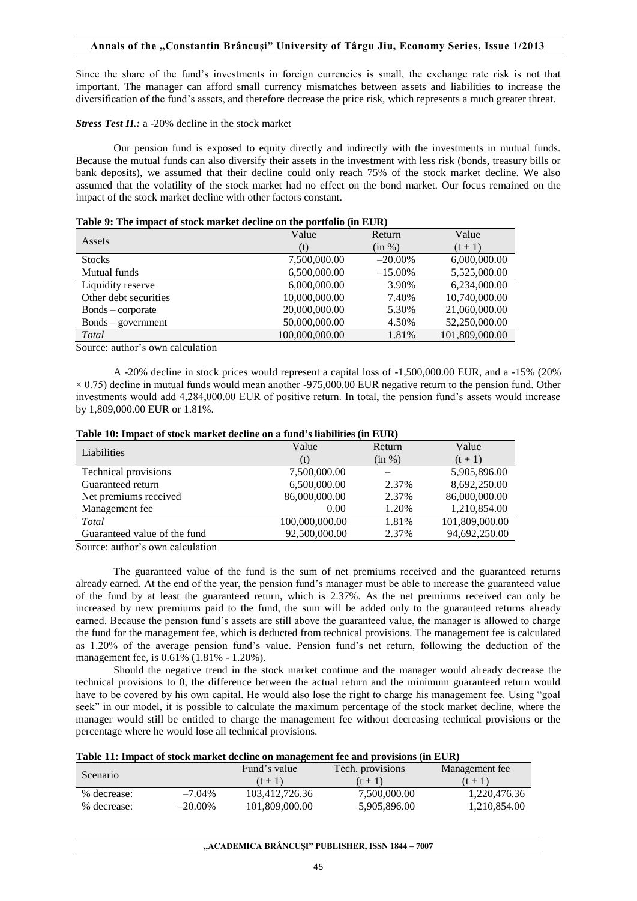# **Annals of the "Constantin Brâncuşi" University of Târgu Jiu, Economy Series, Issue 1/2013**

Since the share of the fund's investments in foreign currencies is small, the exchange rate risk is not that important. The manager can afford small currency mismatches between assets and liabilities to increase the diversification of the fund's assets, and therefore decrease the price risk, which represents a much greater threat.

# *Stress Test II.:* a -20% decline in the stock market

Our pension fund is exposed to equity directly and indirectly with the investments in mutual funds. Because the mutual funds can also diversify their assets in the investment with less risk (bonds, treasury bills or bank deposits), we assumed that their decline could only reach 75% of the stock market decline. We also assumed that the volatility of the stock market had no effect on the bond market. Our focus remained on the impact of the stock market decline with other factors constant.

|  |  | Table 9: The impact of stock market decline on the portfolio (in EUR) |  |  |
|--|--|-----------------------------------------------------------------------|--|--|
|  |  |                                                                       |  |  |

|                       | Value          | Return     | Value          |
|-----------------------|----------------|------------|----------------|
| Assets                | (t)            | (in %)     | $(t + 1)$      |
| <b>Stocks</b>         | 7,500,000.00   | $-20.00\%$ | 6,000,000.00   |
| Mutual funds          | 6,500,000.00   | $-15.00\%$ | 5,525,000.00   |
| Liquidity reserve     | 6,000,000.00   | 3.90%      | 6,234,000.00   |
| Other debt securities | 10,000,000.00  | 7.40%      | 10,740,000.00  |
| Bonds – corporate     | 20,000,000.00  | 5.30%      | 21,060,000.00  |
| $Bonds - government$  | 50,000,000.00  | 4.50%      | 52,250,000.00  |
| Total                 | 100,000,000.00 | 1.81%      | 101,809,000.00 |

Source: author's own calculation

A -20% decline in stock prices would represent a capital loss of -1,500,000.00 EUR, and a -15% (20%  $\times$  0.75) decline in mutual funds would mean another -975,000.00 EUR negative return to the pension fund. Other investments would add 4,284,000.00 EUR of positive return. In total, the pension fund's assets would increase by 1,809,000.00 EUR or 1.81%.

|  | Table 10: Impact of stock market decline on a fund's liabilities (in EUR) |  |
|--|---------------------------------------------------------------------------|--|
|  |                                                                           |  |

| Liabilities                  | Value          | Return | Value          |
|------------------------------|----------------|--------|----------------|
|                              | (t)            | (in %) | $(t + 1)$      |
| Technical provisions         | 7,500,000.00   |        | 5,905,896.00   |
| Guaranteed return            | 6,500,000.00   | 2.37%  | 8,692,250.00   |
| Net premiums received        | 86,000,000.00  | 2.37%  | 86,000,000.00  |
| Management fee               | 0.00           | 1.20%  | 1,210,854.00   |
| Total                        | 100,000,000.00 | 1.81%  | 101,809,000.00 |
| Guaranteed value of the fund | 92,500,000.00  | 2.37%  | 94,692,250.00  |

Source: author's own calculation

The guaranteed value of the fund is the sum of net premiums received and the guaranteed returns already earned. At the end of the year, the pension fund's manager must be able to increase the guaranteed value of the fund by at least the guaranteed return, which is 2.37%. As the net premiums received can only be increased by new premiums paid to the fund, the sum will be added only to the guaranteed returns already earned. Because the pension fund's assets are still above the guaranteed value, the manager is allowed to charge the fund for the management fee, which is deducted from technical provisions. The management fee is calculated as 1.20% of the average pension fund's value. Pension fund's net return, following the deduction of the management fee, is 0.61% (1.81% - 1.20%).

Should the negative trend in the stock market continue and the manager would already decrease the technical provisions to 0, the difference between the actual return and the minimum guaranteed return would have to be covered by his own capital. He would also lose the right to charge his management fee. Using "goal seek" in our model, it is possible to calculate the maximum percentage of the stock market decline, where the manager would still be entitled to charge the management fee without decreasing technical provisions or the percentage where he would lose all technical provisions.

| Table 11: Impact of stock market decline on management fee and provisions (in EUR) |  |
|------------------------------------------------------------------------------------|--|
|------------------------------------------------------------------------------------|--|

| Scenario    |            | Fund's value<br>$(t + 1)$ | Tech. provisions<br>$(t + 1)$ | Management fee<br>$(t + 1)$ |
|-------------|------------|---------------------------|-------------------------------|-----------------------------|
| % decrease: | $-7.04\%$  | 103.412.726.36            | 7.500,000.00                  | 1.220.476.36                |
| % decrease: | $-20.00\%$ | 101.809.000.00            | 5.905.896.00                  | 1.210.854.00                |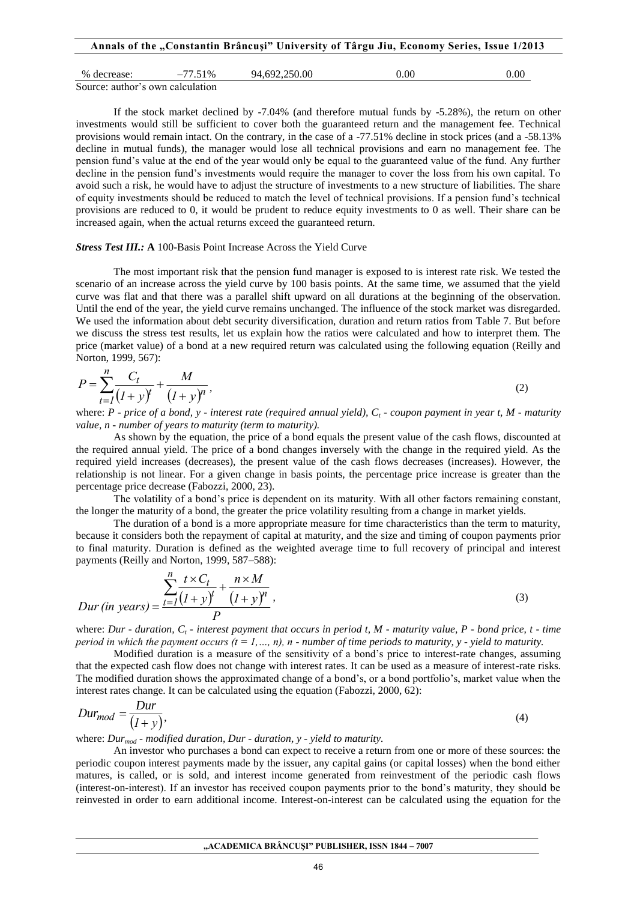|             |            |               | Annals of the "Constantin Brâncuși" University of Târgu Jiu, Economy Series, Issue 1/2013 |      |
|-------------|------------|---------------|-------------------------------------------------------------------------------------------|------|
|             |            |               |                                                                                           |      |
| % decrease: | $-77.51\%$ | 94.692.250.00 | 0.00                                                                                      | 0.00 |

Source: author's own calculation

If the stock market declined by -7.04% (and therefore mutual funds by -5.28%), the return on other investments would still be sufficient to cover both the guaranteed return and the management fee. Technical provisions would remain intact. On the contrary, in the case of a -77.51% decline in stock prices (and a -58.13% decline in mutual funds), the manager would lose all technical provisions and earn no management fee. The pension fund's value at the end of the year would only be equal to the guaranteed value of the fund. Any further decline in the pension fund's investments would require the manager to cover the loss from his own capital. To avoid such a risk, he would have to adjust the structure of investments to a new structure of liabilities. The share of equity investments should be reduced to match the level of technical provisions. If a pension fund's technical provisions are reduced to 0, it would be prudent to reduce equity investments to 0 as well. Their share can be increased again, when the actual returns exceed the guaranteed return.

## *Stress Test III.:* **A** 100-Basis Point Increase Across the Yield Curve

The most important risk that the pension fund manager is exposed to is interest rate risk. We tested the scenario of an increase across the yield curve by 100 basis points. At the same time, we assumed that the yield curve was flat and that there was a parallel shift upward on all durations at the beginning of the observation. Until the end of the year, the yield curve remains unchanged. The influence of the stock market was disregarded. We used the information about debt security diversification, duration and return ratios from Table 7. But before we discuss the stress test results, let us explain how the ratios were calculated and how to interpret them. The price (market value) of a bond at a new required return was calculated using the following equation (Reilly and Norton, 1999, 567):

$$
P = \sum_{t=1}^{n} \frac{C_t}{(1+y)^t} + \frac{M}{(1+y)^n},
$$
\n(2)

where: *P* - price of a bond, y - interest rate (required annual yield),  $C_t$  - coupon payment in year t, M - maturity *value, n - number of years to maturity (term to maturity).*

As shown by the equation, the price of a bond equals the present value of the cash flows, discounted at the required annual yield. The price of a bond changes inversely with the change in the required yield. As the required yield increases (decreases), the present value of the cash flows decreases (increases). However, the relationship is not linear. For a given change in basis points, the percentage price increase is greater than the percentage price decrease (Fabozzi, 2000, 23).

The volatility of a bond's price is dependent on its maturity. With all other factors remaining constant, the longer the maturity of a bond, the greater the price volatility resulting from a change in market yields.

The duration of a bond is a more appropriate measure for time characteristics than the term to maturity, because it considers both the repayment of capital at maturity, and the size and timing of coupon payments prior to final maturity. Duration is defined as the weighted average time to full recovery of principal and interest payments (Reilly and Norton, 1999, 587–588):

$$
Dur(in years) = \frac{\sum_{t=1}^{n} \frac{t \times C_t}{(1+y)^t} + \frac{n \times M}{(1+y)^n}}{P},
$$
\n(3)

where: Dur - duration,  $C_t$  - interest payment that occurs in period t, M - maturity value, P - bond price, t - time *period in which the payment occurs*  $(t = 1, ..., n)$ *, n - number of time periods to maturity, y - yield to maturity.* 

Modified duration is a measure of the sensitivity of a bond's price to interest-rate changes, assuming that the expected cash flow does not change with interest rates. It can be used as a measure of interest-rate risks. The modified duration shows the approximated change of a bond's, or a bond portfolio's, market value when the interest rates change. It can be calculated using the equation (Fabozzi, 2000, 62):

$$
Dur_{mod} = \frac{Dur}{(I+y)},
$$
\n(4)

where: *Durmod - modified duration, Dur - duration, y - yield to maturity.*

An investor who purchases a bond can expect to receive a return from one or more of these sources: the periodic coupon interest payments made by the issuer, any capital gains (or capital losses) when the bond either matures, is called, or is sold, and interest income generated from reinvestment of the periodic cash flows (interest-on-interest). If an investor has received coupon payments prior to the bond's maturity, they should be reinvested in order to earn additional income. Interest-on-interest can be calculated using the equation for the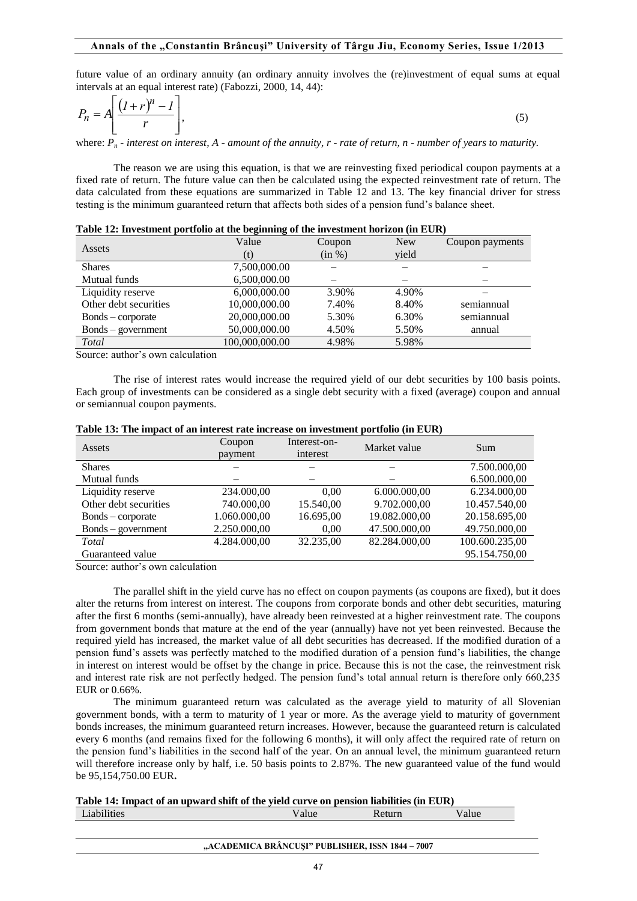future value of an ordinary annuity (an ordinary annuity involves the (re)investment of equal sums at equal intervals at an equal interest rate) (Fabozzi, 2000, 14, 44):

$$
P_n = A \left[ \frac{(1+r)^n - 1}{r} \right],\tag{5}
$$

where:  $P_n$  - interest on interest, A - amount of the annuity, r - rate of return, n - number of years to maturity.

The reason we are using this equation, is that we are reinvesting fixed periodical coupon payments at a fixed rate of return. The future value can then be calculated using the expected reinvestment rate of return. The data calculated from these equations are summarized in Table 12 and 13. The key financial driver for stress testing is the minimum guaranteed return that affects both sides of a pension fund's balance sheet.

| Assets                | Value          | Coupon | <b>New</b> | Coupon payments |
|-----------------------|----------------|--------|------------|-----------------|
|                       | (t)            | (in %) | vield      |                 |
| <b>Shares</b>         | 7,500,000.00   |        |            |                 |
| Mutual funds          | 6,500,000.00   |        |            |                 |
| Liquidity reserve     | 6,000,000.00   | 3.90%  | 4.90%      |                 |
| Other debt securities | 10,000,000.00  | 7.40%  | 8.40%      | semiannual      |
| Bonds – corporate     | 20,000,000.00  | 5.30%  | 6.30%      | semiannual      |
| $Bonds - government$  | 50,000,000.00  | 4.50%  | 5.50%      | annual          |
| Total                 | 100,000,000.00 | 4.98%  | 5.98%      |                 |

| Table 12: Investment portfolio at the beginning of the investment horizon (in EUR) |
|------------------------------------------------------------------------------------|
|------------------------------------------------------------------------------------|

Source: author's own calculation

The rise of interest rates would increase the required yield of our debt securities by 100 basis points. Each group of investments can be considered as a single debt security with a fixed (average) coupon and annual or semiannual coupon payments.

| Assets                | Coupon<br>payment | Interest-on-<br>interest | Market value  | <b>Sum</b>     |
|-----------------------|-------------------|--------------------------|---------------|----------------|
| <b>Shares</b>         |                   |                          |               | 7.500.000,00   |
| Mutual funds          |                   |                          |               | 6.500.000,00   |
| Liquidity reserve     | 234.000,00        | 0.00                     | 6.000.000,00  | 6.234.000,00   |
| Other debt securities | 740.000,00        | 15.540,00                | 9.702.000,00  | 10.457.540,00  |
| Bonds – corporate     | 1.060.000,00      | 16.695,00                | 19.082.000,00 | 20.158.695,00  |
| $Bonds - government$  | 2.250.000,00      | 0.00                     | 47.500.000,00 | 49.750.000,00  |
| Total                 | 4.284.000,00      | 32.235,00                | 82.284.000.00 | 100.600.235,00 |
| Guaranteed value      |                   |                          |               | 95.154.750,00  |

|  | Table 13: The impact of an interest rate increase on investment portfolio (in EUR) |  |  |
|--|------------------------------------------------------------------------------------|--|--|
|  |                                                                                    |  |  |

Source: author's own calculation

The parallel shift in the yield curve has no effect on coupon payments (as coupons are fixed), but it does alter the returns from interest on interest. The coupons from corporate bonds and other debt securities, maturing after the first 6 months (semi-annually), have already been reinvested at a higher reinvestment rate. The coupons from government bonds that mature at the end of the year (annually) have not yet been reinvested. Because the required yield has increased, the market value of all debt securities has decreased. If the modified duration of a pension fund's assets was perfectly matched to the modified duration of a pension fund's liabilities, the change in interest on interest would be offset by the change in price. Because this is not the case, the reinvestment risk and interest rate risk are not perfectly hedged. The pension fund's total annual return is therefore only 660,235 EUR or 0.66%.

The minimum guaranteed return was calculated as the average yield to maturity of all Slovenian government bonds, with a term to maturity of 1 year or more. As the average yield to maturity of government bonds increases, the minimum guaranteed return increases. However, because the guaranteed return is calculated every 6 months (and remains fixed for the following 6 months), it will only affect the required rate of return on the pension fund's liabilities in the second half of the year. On an annual level, the minimum guaranteed return will therefore increase only by half, i.e. 50 basis points to 2.87%. The new guaranteed value of the fund would be 95,154,750.00 EUR**.** 

| Table 14: Impact of an upward shift of the yield curve on pension liabilities (in EUR) |       |        |       |  |  |  |
|----------------------------------------------------------------------------------------|-------|--------|-------|--|--|--|
| Liabilities                                                                            | Value | Return | Value |  |  |  |
|                                                                                        |       |        |       |  |  |  |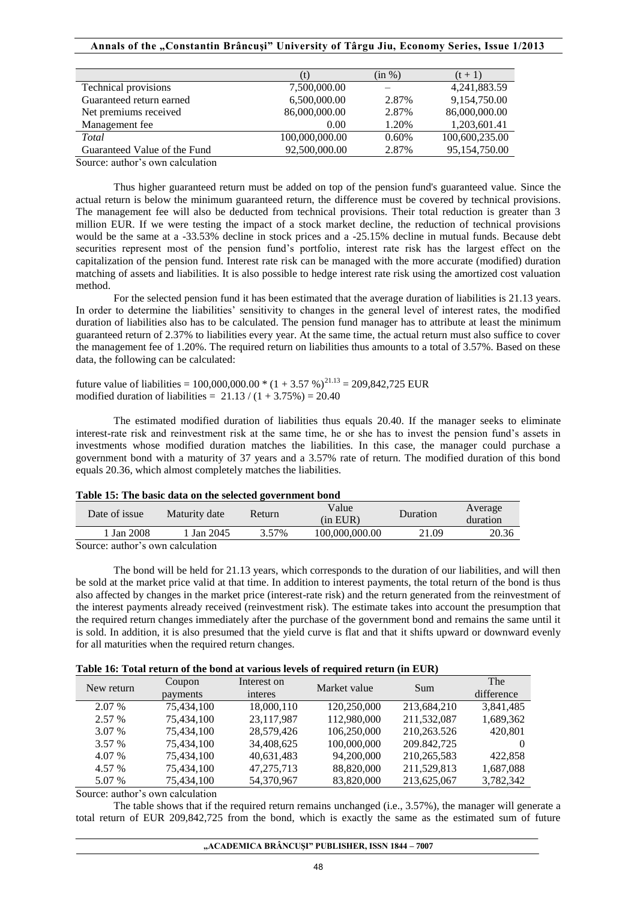## **Annals of the "Constantin Brâncuşi" University of Târgu Jiu, Economy Series, Issue 1/2013**

|                              |                | (in %)   | $(t + 1)$      |
|------------------------------|----------------|----------|----------------|
| Technical provisions         | 7,500,000.00   |          | 4,241,883.59   |
| Guaranteed return earned     | 6,500,000.00   | 2.87%    | 9,154,750.00   |
| Net premiums received        | 86,000,000.00  | 2.87%    | 86,000,000.00  |
| Management fee               | 0.00           | 1.20%    | 1,203,601.41   |
| Total                        | 100,000,000.00 | $0.60\%$ | 100,600,235.00 |
| Guaranteed Value of the Fund | 92,500,000.00  | 2.87%    | 95,154,750.00  |
|                              |                |          |                |

Source: author's own calculation

Thus higher guaranteed return must be added on top of the pension fund's guaranteed value. Since the actual return is below the minimum guaranteed return, the difference must be covered by technical provisions. The management fee will also be deducted from technical provisions. Their total reduction is greater than 3 million EUR. If we were testing the impact of a stock market decline, the reduction of technical provisions would be the same at a -33.53% decline in stock prices and a -25.15% decline in mutual funds. Because debt securities represent most of the pension fund's portfolio, interest rate risk has the largest effect on the capitalization of the pension fund. Interest rate risk can be managed with the more accurate (modified) duration matching of assets and liabilities. It is also possible to hedge interest rate risk using the amortized cost valuation method.

For the selected pension fund it has been estimated that the average duration of liabilities is 21.13 years. In order to determine the liabilities' sensitivity to changes in the general level of interest rates, the modified duration of liabilities also has to be calculated. The pension fund manager has to attribute at least the minimum guaranteed return of 2.37% to liabilities every year. At the same time, the actual return must also suffice to cover the management fee of 1.20%. The required return on liabilities thus amounts to a total of 3.57%. Based on these data, the following can be calculated:

future value of liabilities =  $100,000,000.00 * (1 + 3.57 %)^{21.13} = 209.842.725$  EUR modified duration of liabilities =  $21.13 / (1 + 3.75%) = 20.40$ 

The estimated modified duration of liabilities thus equals 20.40. If the manager seeks to eliminate interest-rate risk and reinvestment risk at the same time, he or she has to invest the pension fund's assets in investments whose modified duration matches the liabilities. In this case, the manager could purchase a government bond with a maturity of 37 years and a 3.57% rate of return. The modified duration of this bond equals 20.36, which almost completely matches the liabilities.

|        | Table 15: The basic data on the selected government bond |               |        |                        |          |                     |  |  |
|--------|----------------------------------------------------------|---------------|--------|------------------------|----------|---------------------|--|--|
|        | Date of issue                                            | Maturity date | Return | Value<br>$(in$ EUR $)$ | Duration | Average<br>duration |  |  |
|        | l Jan 2008                                               | 1 Jan 2045    | 3.57%  | 100,000,000.00         | 21.09    | 20.36               |  |  |
| $\sim$ |                                                          |               |        |                        |          |                     |  |  |

**Table 15: The basic data on the selected government bond** 

Source: author's own calculation

The bond will be held for 21.13 years, which corresponds to the duration of our liabilities, and will then be sold at the market price valid at that time. In addition to interest payments, the total return of the bond is thus also affected by changes in the market price (interest-rate risk) and the return generated from the reinvestment of the interest payments already received (reinvestment risk). The estimate takes into account the presumption that the required return changes immediately after the purchase of the government bond and remains the same until it is sold. In addition, it is also presumed that the yield curve is flat and that it shifts upward or downward evenly for all maturities when the required return changes.

| New return | Coupon     | Interest on | Market value | Sum         | The        |
|------------|------------|-------------|--------------|-------------|------------|
|            | payments   | interes     |              |             | difference |
| 2.07 %     | 75,434,100 | 18,000,110  | 120,250,000  | 213,684,210 | 3,841,485  |
| 2.57 %     | 75.434.100 | 23,117,987  | 112,980,000  | 211.532.087 | 1.689.362  |
| 3.07 %     | 75,434,100 | 28,579,426  | 106.250,000  | 210,263.526 | 420,801    |
| 3.57 %     | 75,434,100 | 34,408,625  | 100,000,000  | 209.842,725 |            |
| 4.07 %     | 75,434,100 | 40,631,483  | 94,200,000   | 210,265,583 | 422,858    |
| 4.57 %     | 75,434,100 | 47,275,713  | 88,820,000   | 211,529,813 | 1,687,088  |
| 5.07 %     | 75,434,100 | 54,370,967  | 83,820,000   | 213,625,067 | 3,782,342  |

Source: author's own calculation

The table shows that if the required return remains unchanged (i.e., 3.57%), the manager will generate a total return of EUR 209,842,725 from the bond, which is exactly the same as the estimated sum of future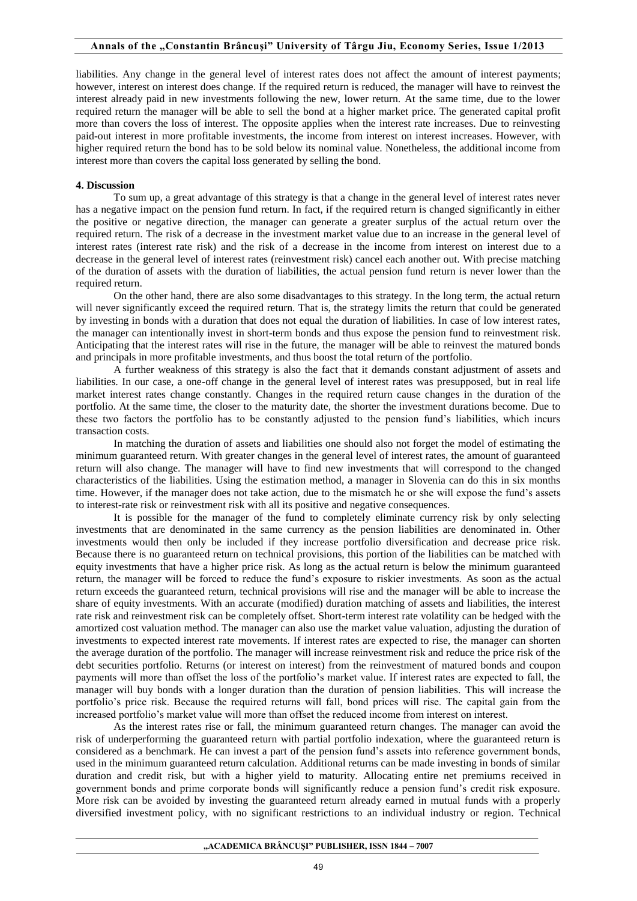liabilities. Any change in the general level of interest rates does not affect the amount of interest payments; however, interest on interest does change. If the required return is reduced, the manager will have to reinvest the interest already paid in new investments following the new, lower return. At the same time, due to the lower required return the manager will be able to sell the bond at a higher market price. The generated capital profit more than covers the loss of interest. The opposite applies when the interest rate increases. Due to reinvesting paid-out interest in more profitable investments, the income from interest on interest increases. However, with higher required return the bond has to be sold below its nominal value. Nonetheless, the additional income from interest more than covers the capital loss generated by selling the bond.

## **4. Discussion**

To sum up, a great advantage of this strategy is that a change in the general level of interest rates never has a negative impact on the pension fund return. In fact, if the required return is changed significantly in either the positive or negative direction, the manager can generate a greater surplus of the actual return over the required return. The risk of a decrease in the investment market value due to an increase in the general level of interest rates (interest rate risk) and the risk of a decrease in the income from interest on interest due to a decrease in the general level of interest rates (reinvestment risk) cancel each another out. With precise matching of the duration of assets with the duration of liabilities, the actual pension fund return is never lower than the required return.

On the other hand, there are also some disadvantages to this strategy. In the long term, the actual return will never significantly exceed the required return. That is, the strategy limits the return that could be generated by investing in bonds with a duration that does not equal the duration of liabilities. In case of low interest rates, the manager can intentionally invest in short-term bonds and thus expose the pension fund to reinvestment risk. Anticipating that the interest rates will rise in the future, the manager will be able to reinvest the matured bonds and principals in more profitable investments, and thus boost the total return of the portfolio.

A further weakness of this strategy is also the fact that it demands constant adjustment of assets and liabilities. In our case, a one-off change in the general level of interest rates was presupposed, but in real life market interest rates change constantly. Changes in the required return cause changes in the duration of the portfolio. At the same time, the closer to the maturity date, the shorter the investment durations become. Due to these two factors the portfolio has to be constantly adjusted to the pension fund's liabilities, which incurs transaction costs.

In matching the duration of assets and liabilities one should also not forget the model of estimating the minimum guaranteed return. With greater changes in the general level of interest rates, the amount of guaranteed return will also change. The manager will have to find new investments that will correspond to the changed characteristics of the liabilities. Using the estimation method, a manager in Slovenia can do this in six months time. However, if the manager does not take action, due to the mismatch he or she will expose the fund's assets to interest-rate risk or reinvestment risk with all its positive and negative consequences.

It is possible for the manager of the fund to completely eliminate currency risk by only selecting investments that are denominated in the same currency as the pension liabilities are denominated in. Other investments would then only be included if they increase portfolio diversification and decrease price risk. Because there is no guaranteed return on technical provisions, this portion of the liabilities can be matched with equity investments that have a higher price risk. As long as the actual return is below the minimum guaranteed return, the manager will be forced to reduce the fund's exposure to riskier investments. As soon as the actual return exceeds the guaranteed return, technical provisions will rise and the manager will be able to increase the share of equity investments. With an accurate (modified) duration matching of assets and liabilities, the interest rate risk and reinvestment risk can be completely offset. Short-term interest rate volatility can be hedged with the amortized cost valuation method. The manager can also use the market value valuation, adjusting the duration of investments to expected interest rate movements. If interest rates are expected to rise, the manager can shorten the average duration of the portfolio. The manager will increase reinvestment risk and reduce the price risk of the debt securities portfolio. Returns (or interest on interest) from the reinvestment of matured bonds and coupon payments will more than offset the loss of the portfolio's market value. If interest rates are expected to fall, the manager will buy bonds with a longer duration than the duration of pension liabilities. This will increase the portfolio's price risk. Because the required returns will fall, bond prices will rise. The capital gain from the increased portfolio's market value will more than offset the reduced income from interest on interest.

As the interest rates rise or fall, the minimum guaranteed return changes. The manager can avoid the risk of underperforming the guaranteed return with partial portfolio indexation, where the guaranteed return is considered as a benchmark. He can invest a part of the pension fund's assets into reference government bonds, used in the minimum guaranteed return calculation. Additional returns can be made investing in bonds of similar duration and credit risk, but with a higher yield to maturity. Allocating entire net premiums received in government bonds and prime corporate bonds will significantly reduce a pension fund's credit risk exposure. More risk can be avoided by investing the guaranteed return already earned in mutual funds with a properly diversified investment policy, with no significant restrictions to an individual industry or region. Technical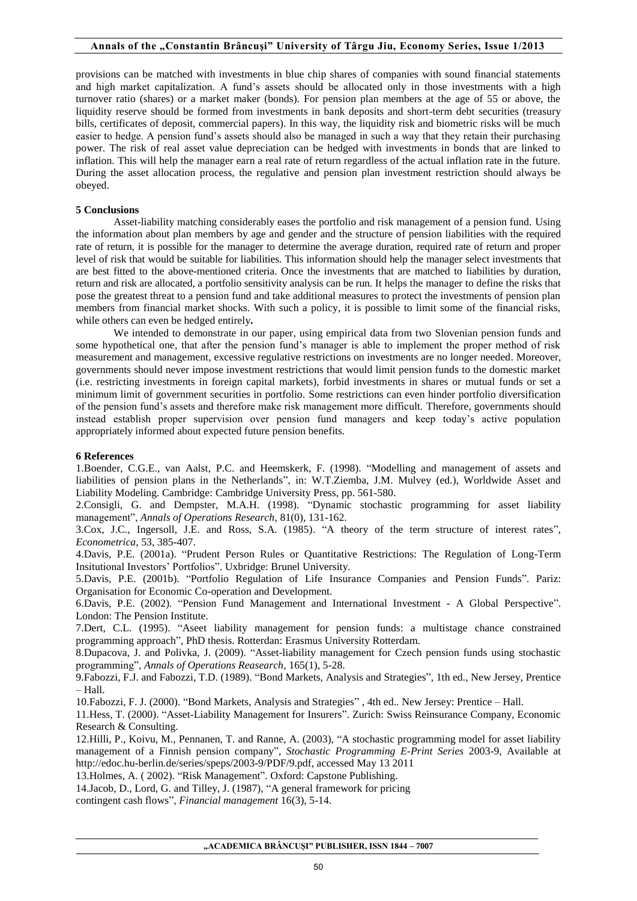provisions can be matched with investments in blue chip shares of companies with sound financial statements and high market capitalization. A fund's assets should be allocated only in those investments with a high turnover ratio (shares) or a market maker (bonds). For pension plan members at the age of 55 or above, the liquidity reserve should be formed from investments in bank deposits and short-term debt securities (treasury bills, certificates of deposit, commercial papers). In this way, the liquidity risk and biometric risks will be much easier to hedge. A pension fund's assets should also be managed in such a way that they retain their purchasing power. The risk of real asset value depreciation can be hedged with investments in bonds that are linked to inflation. This will help the manager earn a real rate of return regardless of the actual inflation rate in the future. During the asset allocation process, the regulative and pension plan investment restriction should always be obeyed.

## **5 Conclusions**

Asset-liability matching considerably eases the portfolio and risk management of a pension fund. Using the information about plan members by age and gender and the structure of pension liabilities with the required rate of return, it is possible for the manager to determine the average duration, required rate of return and proper level of risk that would be suitable for liabilities. This information should help the manager select investments that are best fitted to the above-mentioned criteria. Once the investments that are matched to liabilities by duration, return and risk are allocated, a portfolio sensitivity analysis can be run. It helps the manager to define the risks that pose the greatest threat to a pension fund and take additional measures to protect the investments of pension plan members from financial market shocks. With such a policy, it is possible to limit some of the financial risks, while others can even be hedged entirely**.**

We intended to demonstrate in our paper, using empirical data from two Slovenian pension funds and some hypothetical one, that after the pension fund's manager is able to implement the proper method of risk measurement and management, excessive regulative restrictions on investments are no longer needed. Moreover, governments should never impose investment restrictions that would limit pension funds to the domestic market (i.e. restricting investments in foreign capital markets), forbid investments in shares or mutual funds or set a minimum limit of government securities in portfolio. Some restrictions can even hinder portfolio diversification of the pension fund's assets and therefore make risk management more difficult. Therefore, governments should instead establish proper supervision over pension fund managers and keep today's active population appropriately informed about expected future pension benefits.

### **6 References**

1.Boender, C.G.E., van Aalst, P.C. and Heemskerk, F. (1998). "Modelling and management of assets and liabilities of pension plans in the Netherlands", in: W.T.Ziemba, J.M. Mulvey (ed.), Worldwide Asset and Liability Modeling. Cambridge: Cambridge University Press, pp. 561-580.

2.Consigli, G. and Dempster, M.A.H. (1998). "Dynamic stochastic programming for asset liability management", *Annals of Operations Research*, 81(0), 131-162.

3.Cox, J.C., Ingersoll, J.E. and Ross, S.A. (1985). "A theory of the term structure of interest rates", *Econometrica*, 53, 385-407.

4.Davis, P.E. (2001a). "Prudent Person Rules or Quantitative Restrictions: The Regulation of Long-Term Insitutional Investors' Portfolios". Uxbridge: Brunel University.

5.Davis, P.E. (2001b). "Portfolio Regulation of Life Insurance Companies and Pension Funds". Pariz: Organisation for Economic Co-operation and Development.

6.Davis, P.E. (2002). "Pension Fund Management and International Investment - A Global Perspective". London: The Pension Institute.

7.Dert, C.L. (1995). "Aseet liability management for pension funds: a multistage chance constrained programming approach", PhD thesis. Rotterdan: Erasmus University Rotterdam.

8.Dupacova, J. and Polivka, J. (2009). "Asset-liability management for Czech pension funds using stochastic programming", *Annals of Operations Reasearch*, 165(1), 5-28.

9.Fabozzi, F.J. and Fabozzi, T.D. (1989). "Bond Markets, Analysis and Strategies", 1th ed., New Jersey, Prentice – Hall.

10.Fabozzi, F. J. (2000). "Bond Markets, Analysis and Strategies" , 4th ed.. New Jersey: Prentice – Hall.

11.Hess, T. (2000). "Asset-Liability Management for Insurers". Zurich: Swiss Reinsurance Company, Economic Research & Consulting.

12.Hilli, P., Koivu, M., Pennanen, T. and Ranne, A. (2003), "A stochastic programming model for asset liability management of a Finnish pension company", *Stochastic Programming E-Print Series* 2003-9, Available at [http://edoc.hu-berlin.de/series/speps/2003-9/PDF/9.pdf,](http://edoc.hu-berlin.de/series/speps/2003-9/PDF/9.pdf) accessed May 13 2011

13.Holmes, A. ( 2002). "Risk Management". Oxford: Capstone Publishing.

14.Jacob, D., Lord, G. and Tilley, J. (1987), "A general framework for pricing contingent cash flows", *Financial management* 16(3), 5-14.